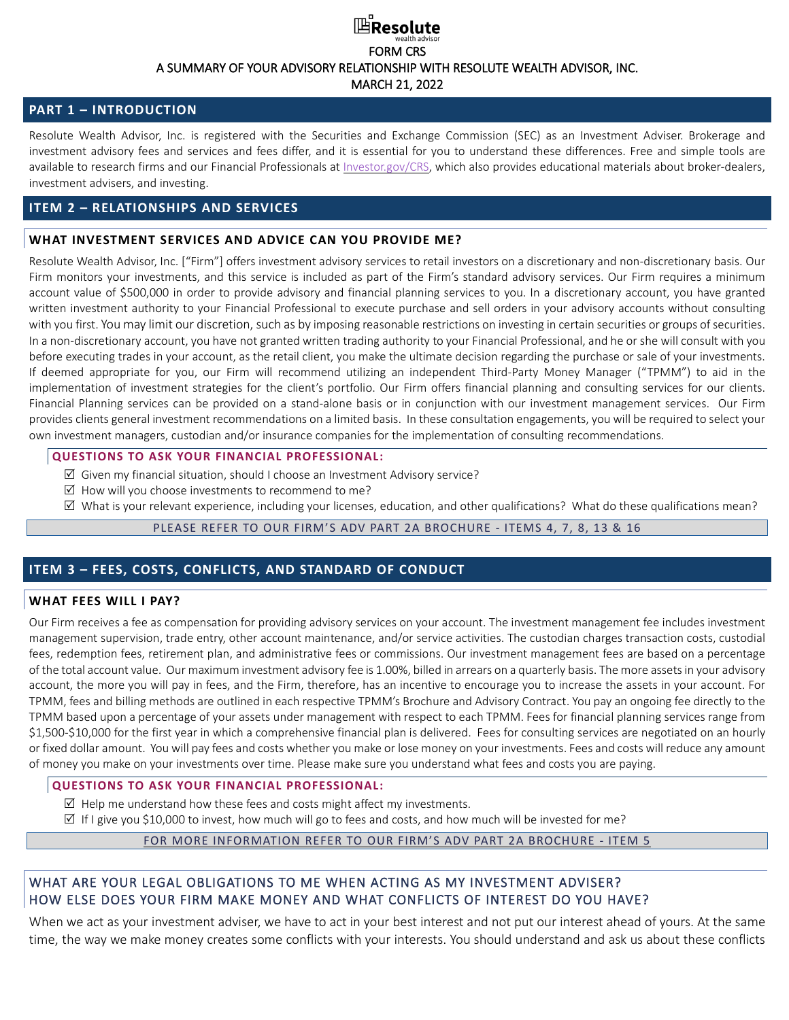# **⊞Resolute** FORM CRS A SUMMARY OF YOUR ADVISORY RELATIONSHIP WITH RESOLUTE WEALTH ADVISOR, INC. MARCH 21, 2022

## **PART 1 – INTRODUCTION**

Resolute Wealth Advisor, Inc. is registered with the Securities and Exchange Commission (SEC) as an Investment Adviser. Brokerage and investment advisory fees and services and fees differ, and it is essential for you to understand these differences. Free and simple tools are available to research firms and our Financial Professionals at [Investor.gov/CRS,](http://www.investor.gov/CRS) which also provides educational materials about broker-dealers, investment advisers, and investing.

## **ITEM 2 – RELATIONSHIPS AND SERVICES**

## **WHAT INVESTMENT SERVICES AND ADVICE CAN YOU PROVIDE ME?**

Resolute Wealth Advisor, Inc. ["Firm"] offers investment advisory services to retail investors on a discretionary and non-discretionary basis. Our Firm monitors your investments, and this service is included as part of the Firm's standard advisory services. Our Firm requires a minimum account value of \$500,000 in order to provide advisory and financial planning services to you. In a discretionary account, you have granted written investment authority to your Financial Professional to execute purchase and sell orders in your advisory accounts without consulting with you first. You may limit our discretion, such as by imposing reasonable restrictions on investing in certain securities or groups of securities. In a non-discretionary account, you have not granted written trading authority to your Financial Professional, and he or she will consult with you before executing trades in your account, as the retail client, you make the ultimate decision regarding the purchase or sale of your investments. If deemed appropriate for you, our Firm will recommend utilizing an independent Third-Party Money Manager ("TPMM") to aid in the implementation of investment strategies for the client's portfolio. Our Firm offers financial planning and consulting services for our clients. Financial Planning services can be provided on a stand-alone basis or in conjunction with our investment management services. Our Firm provides clients general investment recommendations on a limited basis. In these consultation engagements, you will be required to select your own investment managers, custodian and/or insurance companies for the implementation of consulting recommendations.

#### **QUESTIONS TO ASK YOUR FINANCIAL PROFESSIONAL:**

- $\boxtimes$  Given my financial situation, should I choose an Investment Advisory service?
- $\boxtimes$  How will you choose investments to recommend to me?
- What is your relevant experience, including your licenses, education, and other qualifications? What do these qualifications mean?

## PLEASE REFER TO OUR FIRM'S ADV PART 2A [BROCHURE](https://adviserinfo.sec.gov/firm/summary/290349) - ITEMS 4, 7, 8, 13 & 16

## **ITEM 3 – FEES, COSTS, CONFLICTS, AND STANDARD OF CONDUCT**

### **WHAT FEES WILL I PAY?**

Our Firm receives a fee as compensation for providing advisory services on your account. The investment management fee includes investment management supervision, trade entry, other account maintenance, and/or service activities. The custodian charges transaction costs, custodial fees, redemption fees, retirement plan, and administrative fees or commissions. Our investment management fees are based on a percentage of the total account value. Our maximum investment advisory fee is 1.00%, billed in arrears on a quarterly basis. The more assetsin your advisory account, the more you will pay in fees, and the Firm, therefore, has an incentive to encourage you to increase the assets in your account. For TPMM, fees and billing methods are outlined in each respective TPMM's Brochure and Advisory Contract. You pay an ongoing fee directly to the TPMM based upon a percentage of your assets under management with respect to each TPMM. Fees for financial planning services range from \$1,500-\$10,000 for the first year in which a comprehensive financial plan is delivered. Fees for consulting services are negotiated on an hourly or fixed dollar amount. You will pay fees and costs whether you make or lose money on your investments. Fees and costs will reduce any amount of money you make on your investments over time. Please make sure you understand what fees and costs you are paying.

## **QUESTIONS TO ASK YOUR FINANCIAL PROFESSIONAL:**

- $\boxtimes$  Help me understand how these fees and costs might affect my investments.
- $\boxtimes$  If I give you \$10,000 to invest, how much will go to fees and costs, and how much will be invested for me?

### FOR MORE [INFORMATION](https://adviserinfo.sec.gov/firm/summary/290349) REFER TO OUR FIRM'S ADV PART 2A BROCHURE - ITEM 5

## WHAT ARE YOUR LEGAL OBLIGATIONS TO ME WHEN ACTING AS MY INVESTMENT ADVISER? HOW ELSE DOES YOUR FIRM MAKE MONEY AND WHAT CONFLICTS OF INTEREST DO YOU HAVE?

When we act as your investment adviser, we have to act in your best interest and not put our interest ahead of yours. At the same time, the way we make money creates some conflicts with your interests. You should understand and ask us about these conflicts